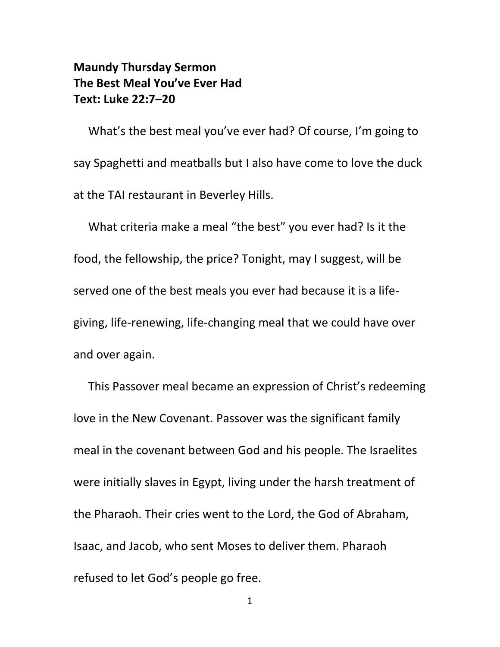## **Maundy Thursday Sermon The Best Meal You've Ever Had Text: Luke 22:7–20**

What's the best meal you've ever had? Of course, I'm going to say Spaghetti and meatballs but I also have come to love the duck at the TAI restaurant in Beverley Hills.

What criteria make a meal "the best" you ever had? Is it the food, the fellowship, the price? Tonight, may I suggest, will be served one of the best meals you ever had because it is a lifegiving, life-renewing, life-changing meal that we could have over and over again.

This Passover meal became an expression of Christ's redeeming love in the New Covenant. Passover was the significant family meal in the covenant between God and his people. The Israelites were initially slaves in Egypt, living under the harsh treatment of the Pharaoh. Their cries went to the Lord, the God of Abraham, Isaac, and Jacob, who sent Moses to deliver them. Pharaoh refused to let God's people go free.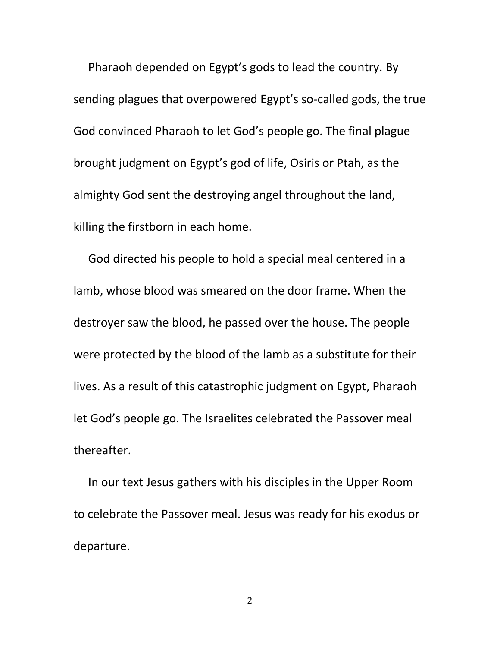Pharaoh depended on Egypt's gods to lead the country. By sending plagues that overpowered Egypt's so-called gods, the true God convinced Pharaoh to let God's people go. The final plague brought judgment on Egypt's god of life, Osiris or Ptah, as the almighty God sent the destroying angel throughout the land, killing the firstborn in each home.

God directed his people to hold a special meal centered in a lamb, whose blood was smeared on the door frame. When the destroyer saw the blood, he passed over the house. The people were protected by the blood of the lamb as a substitute for their lives. As a result of this catastrophic judgment on Egypt, Pharaoh let God's people go. The Israelites celebrated the Passover meal thereafter.

In our text Jesus gathers with his disciples in the Upper Room to celebrate the Passover meal. Jesus was ready for his exodus or departure.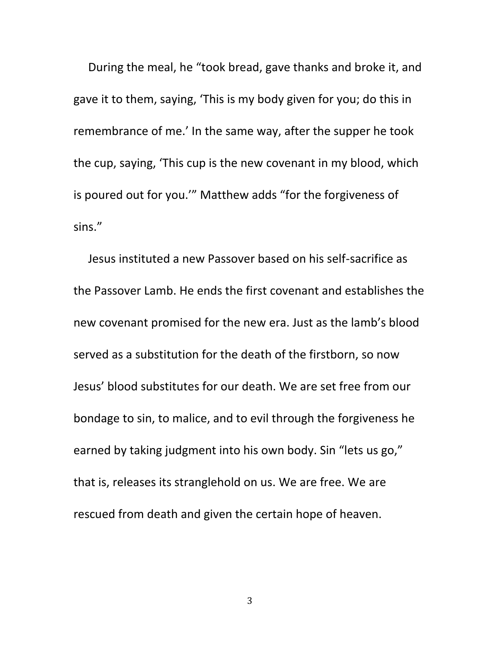During the meal, he "took bread, gave thanks and broke it, and gave it to them, saying, 'This is my body given for you; do this in remembrance of me.' In the same way, after the supper he took the cup, saying, 'This cup is the new covenant in my blood, which is poured out for you.'" Matthew adds "for the forgiveness of sins."

Jesus instituted a new Passover based on his self-sacrifice as the Passover Lamb. He ends the first covenant and establishes the new covenant promised for the new era. Just as the lamb's blood served as a substitution for the death of the firstborn, so now Jesus' blood substitutes for our death. We are set free from our bondage to sin, to malice, and to evil through the forgiveness he earned by taking judgment into his own body. Sin "lets us go," that is, releases its stranglehold on us. We are free. We are rescued from death and given the certain hope of heaven.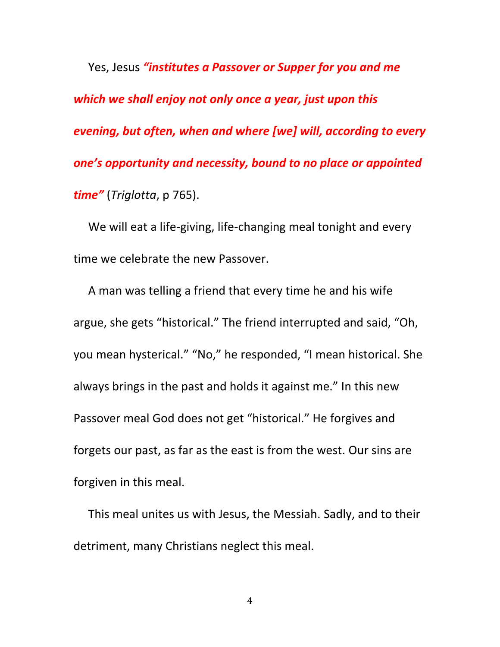Yes, Jesus *"institutes a Passover or Supper for you and me which we shall enjoy not only once a year, just upon this evening, but often, when and where [we] will, according to every one's opportunity and necessity, bound to no place or appointed time"* (*Triglotta*, p 765).

We will eat a life-giving, life-changing meal tonight and every time we celebrate the new Passover.

A man was telling a friend that every time he and his wife argue, she gets "historical." The friend interrupted and said, "Oh, you mean hysterical." "No," he responded, "I mean historical. She always brings in the past and holds it against me." In this new Passover meal God does not get "historical." He forgives and forgets our past, as far as the east is from the west. Our sins are forgiven in this meal.

This meal unites us with Jesus, the Messiah. Sadly, and to their detriment, many Christians neglect this meal.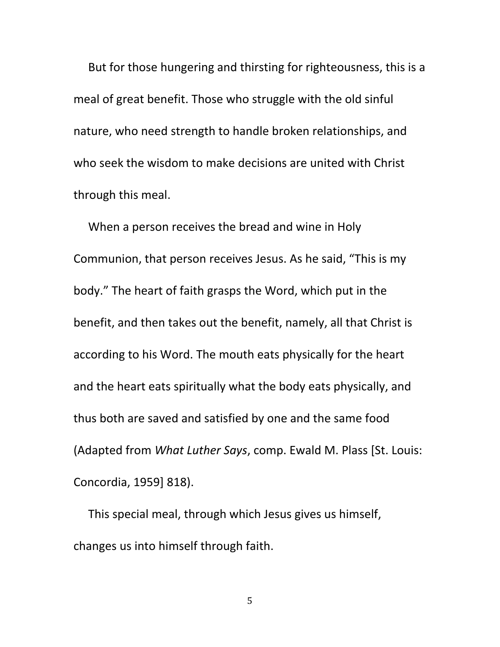But for those hungering and thirsting for righteousness, this is a meal of great benefit. Those who struggle with the old sinful nature, who need strength to handle broken relationships, and who seek the wisdom to make decisions are united with Christ through this meal.

When a person receives the bread and wine in Holy Communion, that person receives Jesus. As he said, "This is my body." The heart of faith grasps the Word, which put in the benefit, and then takes out the benefit, namely, all that Christ is according to his Word. The mouth eats physically for the heart and the heart eats spiritually what the body eats physically, and thus both are saved and satisfied by one and the same food (Adapted from *What Luther Says*, comp. Ewald M. Plass [St. Louis: Concordia, 1959] 818).

This special meal, through which Jesus gives us himself, changes us into himself through faith.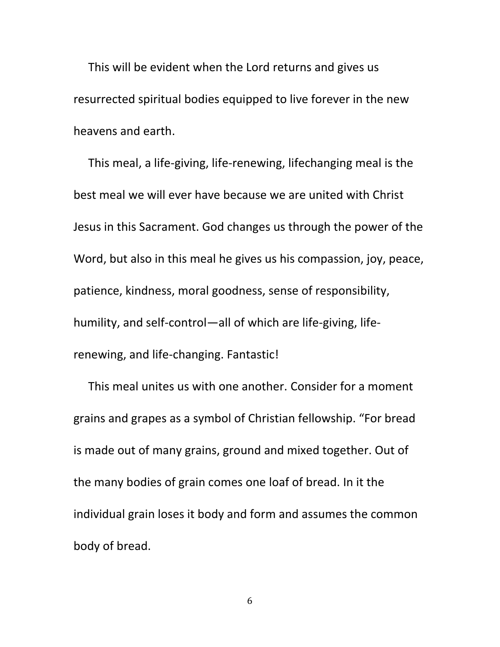This will be evident when the Lord returns and gives us resurrected spiritual bodies equipped to live forever in the new heavens and earth.

This meal, a life-giving, life-renewing, lifechanging meal is the best meal we will ever have because we are united with Christ Jesus in this Sacrament. God changes us through the power of the Word, but also in this meal he gives us his compassion, joy, peace, patience, kindness, moral goodness, sense of responsibility, humility, and self-control—all of which are life-giving, liferenewing, and life-changing. Fantastic!

This meal unites us with one another. Consider for a moment grains and grapes as a symbol of Christian fellowship. "For bread is made out of many grains, ground and mixed together. Out of the many bodies of grain comes one loaf of bread. In it the individual grain loses it body and form and assumes the common body of bread.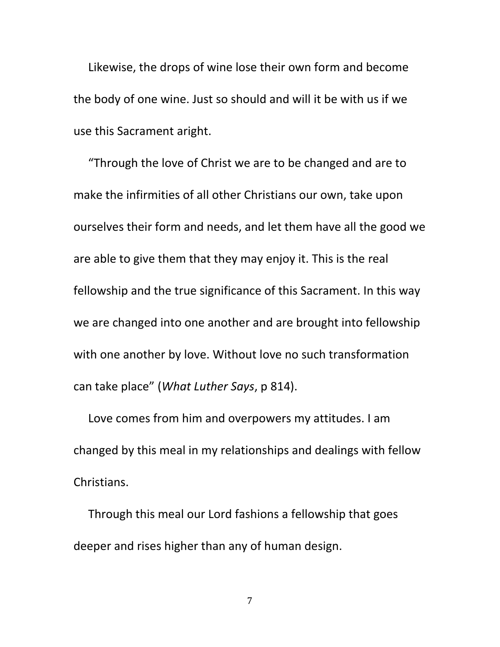Likewise, the drops of wine lose their own form and become the body of one wine. Just so should and will it be with us if we use this Sacrament aright.

"Through the love of Christ we are to be changed and are to make the infirmities of all other Christians our own, take upon ourselves their form and needs, and let them have all the good we are able to give them that they may enjoy it. This is the real fellowship and the true significance of this Sacrament. In this way we are changed into one another and are brought into fellowship with one another by love. Without love no such transformation can take place" (*What Luther Says*, p 814).

Love comes from him and overpowers my attitudes. I am changed by this meal in my relationships and dealings with fellow Christians.

Through this meal our Lord fashions a fellowship that goes deeper and rises higher than any of human design.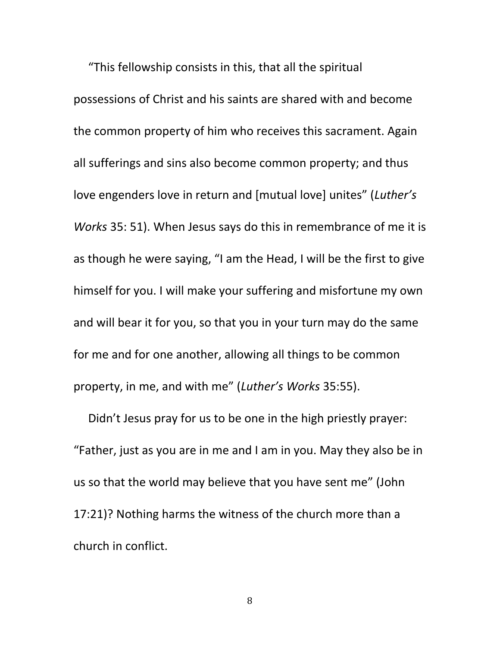"This fellowship consists in this, that all the spiritual possessions of Christ and his saints are shared with and become the common property of him who receives this sacrament. Again all sufferings and sins also become common property; and thus love engenders love in return and [mutual love] unites" (*Luther's Works* 35: 51). When Jesus says do this in remembrance of me it is as though he were saying, "I am the Head, I will be the first to give himself for you. I will make your suffering and misfortune my own and will bear it for you, so that you in your turn may do the same for me and for one another, allowing all things to be common property, in me, and with me" (*Luther's Works* 35:55).

Didn't Jesus pray for us to be one in the high priestly prayer: "Father, just as you are in me and I am in you. May they also be in us so that the world may believe that you have sent me" (John 17:21)? Nothing harms the witness of the church more than a church in conflict.